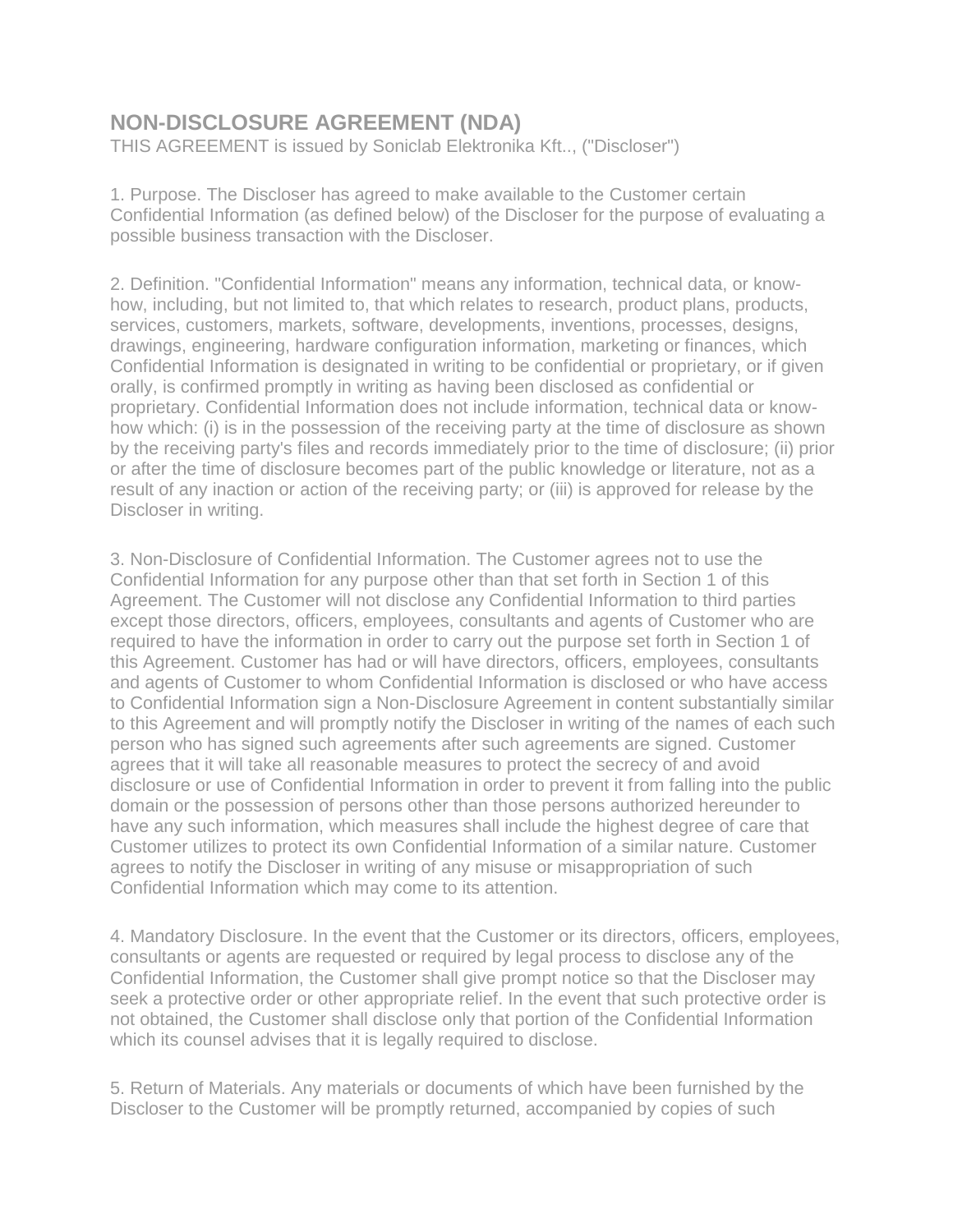## **NON-DISCLOSURE AGREEMENT (NDA)**

THIS AGREEMENT is issued by Soniclab Elektronika Kft.., ("Discloser")

1. Purpose. The Discloser has agreed to make available to the Customer certain Confidential Information (as defined below) of the Discloser for the purpose of evaluating a possible business transaction with the Discloser.

2. Definition. "Confidential Information" means any information, technical data, or knowhow, including, but not limited to, that which relates to research, product plans, products, services, customers, markets, software, developments, inventions, processes, designs, drawings, engineering, hardware configuration information, marketing or finances, which Confidential Information is designated in writing to be confidential or proprietary, or if given orally, is confirmed promptly in writing as having been disclosed as confidential or proprietary. Confidential Information does not include information, technical data or knowhow which: (i) is in the possession of the receiving party at the time of disclosure as shown by the receiving party's files and records immediately prior to the time of disclosure; (ii) prior or after the time of disclosure becomes part of the public knowledge or literature, not as a result of any inaction or action of the receiving party; or (iii) is approved for release by the Discloser in writing.

3. Non-Disclosure of Confidential Information. The Customer agrees not to use the Confidential Information for any purpose other than that set forth in Section 1 of this Agreement. The Customer will not disclose any Confidential Information to third parties except those directors, officers, employees, consultants and agents of Customer who are required to have the information in order to carry out the purpose set forth in Section 1 of this Agreement. Customer has had or will have directors, officers, employees, consultants and agents of Customer to whom Confidential Information is disclosed or who have access to Confidential Information sign a Non-Disclosure Agreement in content substantially similar to this Agreement and will promptly notify the Discloser in writing of the names of each such person who has signed such agreements after such agreements are signed. Customer agrees that it will take all reasonable measures to protect the secrecy of and avoid disclosure or use of Confidential Information in order to prevent it from falling into the public domain or the possession of persons other than those persons authorized hereunder to have any such information, which measures shall include the highest degree of care that Customer utilizes to protect its own Confidential Information of a similar nature. Customer agrees to notify the Discloser in writing of any misuse or misappropriation of such Confidential Information which may come to its attention.

4. Mandatory Disclosure. In the event that the Customer or its directors, officers, employees, consultants or agents are requested or required by legal process to disclose any of the Confidential Information, the Customer shall give prompt notice so that the Discloser may seek a protective order or other appropriate relief. In the event that such protective order is not obtained, the Customer shall disclose only that portion of the Confidential Information which its counsel advises that it is legally required to disclose.

5. Return of Materials. Any materials or documents of which have been furnished by the Discloser to the Customer will be promptly returned, accompanied by copies of such